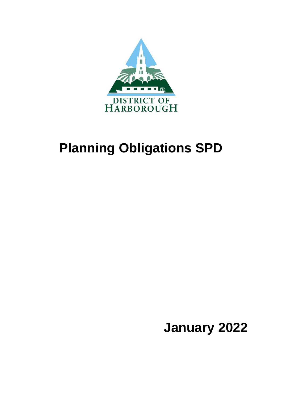

# **Planning Obligations SPD**

**January 2022**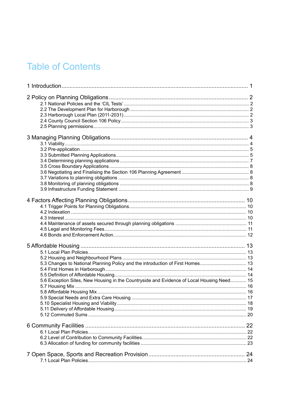### **Table of Contents**

| 5.3 Changes to National Planning Policy and the introduction of First Homes 13            |  |
|-------------------------------------------------------------------------------------------|--|
|                                                                                           |  |
|                                                                                           |  |
| 5.6 Exception Sites, New Housing in the Countryside and Evidence of Local Housing Need 15 |  |
|                                                                                           |  |
|                                                                                           |  |
|                                                                                           |  |
|                                                                                           |  |
|                                                                                           |  |
|                                                                                           |  |
|                                                                                           |  |
|                                                                                           |  |
|                                                                                           |  |
|                                                                                           |  |
|                                                                                           |  |
|                                                                                           |  |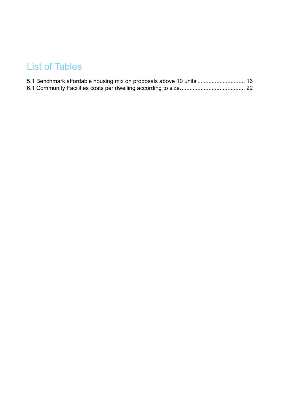### List of Tables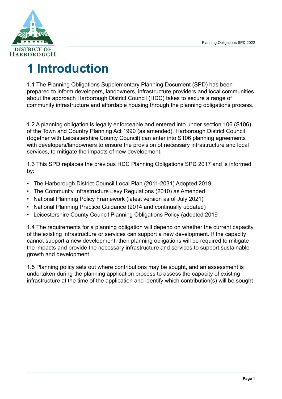

## <span id="page-5-0"></span>**1 Introduction**

1.1 The Planning Obligations Supplementary Planning Document (SPD) has been prepared to inform developers, landowners, infrastructure providers and local communities about the approach Harborough District Council (HDC) takes to secure a range of community infrastructure and affordable housing through the planning obligations process.

1.2 A planning obligation is legally enforceable and entered into under section 106 (S106) of the Town and Country Planning Act 1990 (as amended). Harborough District Council (together with Leicestershire County Council) can enter into S106 planning agreements with developers/landowners to ensure the provision of necessary infrastructure and local services, to mitigate the impacts of new development.

1.3 This SPD replaces the previous HDC Planning Obligations SPD 2017 and is informed by:

- The Harborough District Council Local Plan (2011-2031) Adopted 2019
- The Community Infrastructure Levy Regulations (2010) as Amended
- National Planning Policy Framework (latest version as of July 2021)
- National Planning Practice Guidance (2014 and continually updated)
- Leicestershire County Council Planning Obligations Policy (adopted 2019

1.4 The requirements for a planning obligation will depend on whether the current capacity of the existing infrastructure or services can support a new development. If the capacity cannot support a new development, then planning obligations will be required to mitigate the impacts and provide the necessary infrastructure and services to support sustainable growth and development.

1.5 Planning policy sets out where contributions may be sought, and an assessment is undertaken during the planning application process to assess the capacity of existing infrastructure at the time of the application and identify which contribution(s) will be sought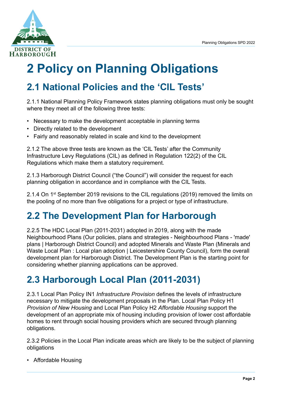

# <span id="page-6-0"></span>**2 Policy on Planning Obligations**

### <span id="page-6-1"></span>**2.1 National Policies and the 'CIL Tests'**

2.1.1 National Planning Policy Framework states planning obligations must only be sought where they meet all of the following three tests:

- Necessary to make the development acceptable in planning terms
- Directly related to the development
- Fairly and reasonably related in scale and kind to the development

2.1.2 The above three tests are known as the 'CIL Tests' after the Community Infrastructure Levy Regulations (CIL) as defined in Regulation 122(2) of the CIL Regulations which make them a statutory requirement.

2.1.3 Harborough District Council ("the Council") will consider the request for each planning obligation in accordance and in compliance with the CIL Tests.

2.1.4 On 1<sup>st</sup> September 2019 revisions to the CIL regulations (2019) removed the limits on the pooling of no more than five obligations for a project or type of infrastructure.

### <span id="page-6-2"></span>**2.2 The Development Plan for Harborough**

2.2.5 The HDC Local Plan (2011-2031) adopted in 2019, along with the made Neighbourhood Plans [\(Our policies, plans and strategies - Neighbourhood Plans - 'made'](https://www.harborough.gov.uk/directory_record/470/neighbourhood_plans_-_made_plans) [plans | Harborough District Council\)](https://www.harborough.gov.uk/directory_record/470/neighbourhood_plans_-_made_plans) and adopted Minerals and Waste Plan ([Minerals and](https://www.leicestershire.gov.uk/environment-and-planning/planning/minerals-and-waste-local-plan/local-plan-adoption) [Waste Local Plan : Local plan adoption | Leicestershire County Council](https://www.leicestershire.gov.uk/environment-and-planning/planning/minerals-and-waste-local-plan/local-plan-adoption)), form the overall development plan for Harborough District. The Development Plan is the starting point for considering whether planning applications can be approved.

### <span id="page-6-3"></span>**2.3 Harborough Local Plan (2011-2031)**

2.3.1 Local Plan Policy IN1 *Infrastructure Provision* defines the levels of infrastructure necessary to mitigate the development proposals in the Plan. Local Plan Policy H1 *Provision of New Housing* and Local Plan Policy H2 *Affordable Housing* support the development of an appropriate mix of housing including provision of lower cost affordable homes to rent through social housing providers which are secured through planning obligations.

2.3.2 Policies in the Local Plan indicate areas which are likely to be the subject of planning obligations

• Affordable Housing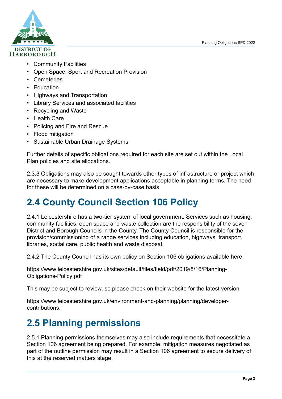Planning Obligations SPD 2022



- Community Facilities
- Open Space, Sport and Recreation Provision
- Cemeteries
- Education
- Highways and Transportation
- Library Services and associated facilities
- Recycling and Waste
- Health Care
- Policing and Fire and Rescue
- Flood mitigation
- Sustainable Urban Drainage Systems

Further details of specific obligations required for each site are set out within the Local Plan policies and site allocations.

2.3.3 Obligations may also be sought towards other types of infrastructure or project which are necessary to make development applications acceptable in planning terms. The need for these will be determined on a case-by-case basis.

### <span id="page-7-0"></span>**2.4 County Council Section 106 Policy**

2.4.1 Leicestershire has a two-tier system of local government. Services such as housing, community facilities, open space and waste collection are the responsibility of the seven District and Borough Councils in the County. The County Council is responsible for the provision/commissioning of a range services including education, highways, transport, libraries, social care, public health and waste disposal.

2.4.2 The County Council has its own policy on Section 106 obligations available here:

[https://www.leicestershire.gov.uk/sites/default/files/field/pdf/2019/8/16/Planning-](https://www.leicestershire.gov.uk/sites/default/files/field/pdf/2019/8/16/Planning-Obligations-Policy.pdf)[Obligations-Policy.pdf](https://www.leicestershire.gov.uk/sites/default/files/field/pdf/2019/8/16/Planning-Obligations-Policy.pdf)

This may be subject to review, so please check on their website for the latest version

[https://www.leicestershire.gov.uk/environment-and-planning/planning/developer](https://www.leicestershire.gov.uk/environment-and-planning/planning/developer-contributions)[contributions.](https://www.leicestershire.gov.uk/environment-and-planning/planning/developer-contributions)

### <span id="page-7-1"></span>**2.5 Planning permissions**

2.5.1 Planning permissions themselves may also include requirements that necessitate a Section 106 agreement being prepared. For example, mitigation measures negotiated as part of the outline permission may result in a Section 106 agreement to secure delivery of this at the reserved matters stage.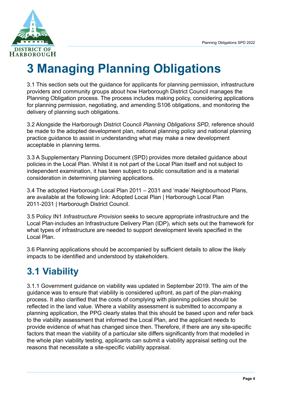

# <span id="page-8-0"></span>**3 Managing Planning Obligations**

3.1 This section sets out the guidance for applicants for planning permission, infrastructure providers and community groups about how Harborough District Council manages the Planning Obligation process. The process includes making policy, considering applications for planning permission, negotiating, and amending S106 obligations, and monitoring the delivery of planning such obligations.

3.2 Alongside the Harborough District Council *Planning Obligations SPD,* reference should be made to the adopted development plan, national planning policy and national planning practice guidance to assist in understanding what may make a new development acceptable in planning terms.

3.3 A Supplementary Planning Document (SPD) provides more detailed guidance about policies in the Local Plan. Whilst it is not part of the Local Plan itself and not subject to independent examination, it has been subject to public consultation and is a material consideration in determining planning applications.

3.4 The adopted Harborough Local Plan 2011 – 2031 and 'made' Neighbourhood Plans, are available at the following link: [Adopted Local Plan | Harborough Local Plan](https://www.harborough.gov.uk/local-plan) [2011-2031 | Harborough District Council.](https://www.harborough.gov.uk/local-plan)

3.5 Policy IN1 *Infrastructure Provision* seeks to secure appropriate infrastructure and the Local Plan includes an Infrastructure Delivery Plan (IDP), which sets out the framework for what types of infrastructure are needed to support development levels specified in the Local Plan.

3.6 Planning applications should be accompanied by sufficient details to allow the likely impacts to be identified and understood by stakeholders.

### <span id="page-8-1"></span>**3.1 Viability**

3.1.1 Government guidance on viability was updated in September 2019. The aim of the guidance was to ensure that viability is considered upfront, as part of the plan-making process. It also clarified that the costs of complying with planning policies should be reflected in the land value. Where a viability assessment is submitted to accompany a planning application, the PPG clearly states that this should be based upon and refer back to the viability assessment that informed the Local Plan, and the applicant needs to provide evidence of what has changed since then. Therefore, if there are any site-specific factors that mean the viability of a particular site differs significantly from that modelled in the whole plan viability testing, applicants can submit a viability appraisal setting out the reasons that necessitate a site-specific viability appraisal.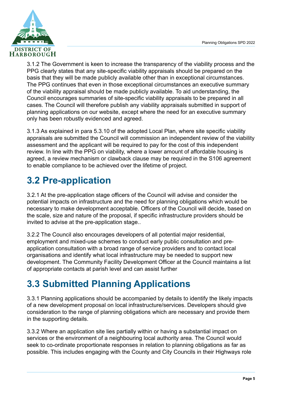

3.1.2 The Government is keen to increase the transparency of the viability process and the PPG clearly states that any site-specific viability appraisals should be prepared on the basis that they will be made publicly available other than in exceptional circumstances. The PPG continues that even in those exceptional circumstances an executive summary of the viability appraisal should be made publicly available. To aid understanding, the Council encourages summaries of site-specific viability appraisals to be prepared in all cases. The Council will therefore publish any viability appraisals submitted in support of planning applications on our website, except where the need for an executive summary only has been robustly evidenced and agreed.

3.1.3 As explained in para 5.3.10 of the adopted Local Plan, where site specific viability appraisals are submitted the Council will commission an independent review of the viability assessment and the applicant will be required to pay for the cost of this independent review. In line with the PPG on viability, where a lower amount of affordable housing is agreed, a review mechanism or clawback clause may be required in the S106 agreement to enable compliance to be achieved over the lifetime of project.

### <span id="page-9-0"></span>**3.2 Pre-application**

3.2.1 At the pre-application stage officers of the Council will advise and consider the potential impacts on infrastructure and the need for planning obligations which would be necessary to make development acceptable. Officers of the Council will decide, based on the scale, size and nature of the proposal, if specific infrastructure providers should be invited to advise at the pre-application stage..

3.2.2 The Council also encourages developers of all potential major residential, employment and mixed-use schemes to conduct early public consultation and preapplication consultation with a broad range of service providers and to contact local organisations and identify what local infrastructure may be needed to support new development. The Community Facility Development Officer at the Council maintains a list of appropriate contacts at parish level and can assist further

### <span id="page-9-1"></span>**3.3 Submitted Planning Applications**

3.3.1 Planning applications should be accompanied by details to identify the likely impacts of a new development proposal on local infrastructure/services. Developers should give consideration to the range of planning obligations which are necessary and provide them in the supporting details.

3.3.2 Where an application site lies partially within or having a substantial impact on services or the environment of a neighbouring local authority area. The Council would seek to co-ordinate proportionate responses in relation to planning obligations as far as possible. This includes engaging with the County and City Councils in their Highways role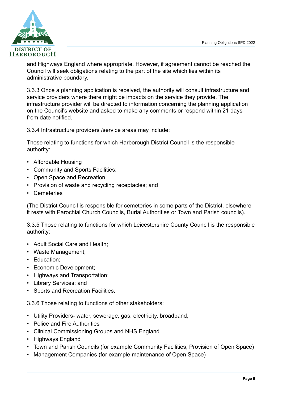

and Highways England where appropriate. However, if agreement cannot be reached the Council will seek obligations relating to the part of the site which lies within its administrative boundary.

3.3.3 Once a planning application is received, the authority will consult infrastructure and service providers where there might be impacts on the service they provide. The infrastructure provider will be directed to information concerning the planning application on the Council's website and asked to make any comments or respond within 21 days from date notified.

3.3.4 Infrastructure providers /service areas may include:

Those relating to functions for which Harborough District Council is the responsible authority:

- Affordable Housing
- Community and Sports Facilities;
- Open Space and Recreation;
- Provision of waste and recycling receptacles; and
- Cemeteries

(The District Council is responsible for cemeteries in some parts of the District, elsewhere it rests with Parochial Church Councils, Burial Authorities or Town and Parish councils).

3.3.5 Those relating to functions for which Leicestershire County Council is the responsible authority:

- Adult Social Care and Health;
- Waste Management;
- Education;
- Economic Development;
- Highways and Transportation;
- Library Services; and
- Sports and Recreation Facilities.

3.3.6 Those relating to functions of other stakeholders:

- Utility Providers- water, sewerage, gas, electricity, broadband,
- Police and Fire Authorities
- Clinical Commissioning Groups and NHS England
- Highways England
- Town and Parish Councils (for example Community Facilities, Provision of Open Space)
- Management Companies (for example maintenance of Open Space)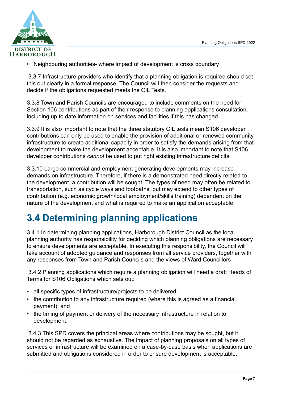

• Neighbouring authorities- where impact of development is cross boundary

 3.3.7 Infrastructure providers who identify that a planning obligation is required should set this out clearly in a formal response. The Council will then consider the requests and decide if the obligations requested meets the CIL Tests.

3.3.8 Town and Parish Councils are encouraged to include comments on the need for Section 106 contributions as part of their response to planning applications consultation, including up to date information on services and facilities if this has changed.

3.3.9 It is also important to note that the three statutory CIL tests mean S106 developer contributions can only be used to enable the provision of additional or renewed community infrastructure to create additional capacity in order to satisfy the demands arising from that development to make the development acceptable. It is also important to note that S106 developer contributions *cannot* be used to put right existing infrastructure deficits.

3.3.10 Large commercial and employment generating developments may increase demands on infrastructure. Therefore, if there is a demonstrated need directly related to the development, a contribution will be sought. The types of need may often be related to transportation, such as cycle ways and footpaths, but may extend to other types of contribution (e.g. economic growth/local employment/skills training) dependent on the nature of the development and what is required to make an application acceptable

### <span id="page-11-0"></span>**3.4 Determining planning applications**

3.4.1 In determining planning applications, Harborough District Council as the local planning authority has responsibility for deciding which planning obligations are necessary to ensure developments are acceptable. In executing this responsibility, the Council will take account of adopted guidance and responses from all service providers, together with any responses from Town and Parish Councils and the views of Ward Councillors

 3.4.2 Planning applications which require a planning obligation will need a draft Heads of Terms for S106 Obligations which sets out:

- all specific types of infrastructure/projects to be delivered;
- the contribution to any infrastructure required (where this is agreed as a financial payment); and
- the timing of payment or delivery of the necessary infrastructure in relation to development.

 3.4.3 This SPD covers the principal areas where contributions may be sought, but it should not be regarded as exhaustive. The impact of planning proposals on all types of services or infrastructure will be examined on a case-by-case basis when applications are submitted and obligations considered in order to ensure development is acceptable.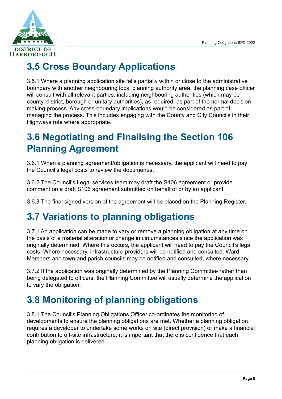

### <span id="page-12-0"></span>**3.5 Cross Boundary Applications**

3.5.1 Where a planning application site falls partially within or close to the administrative boundary with another neighbouring local planning authority area, the planning case officer will consult with all relevant parties, including neighbouring authorities (which may be county, district, borough or unitary authorities), as required, as part of the normal decisionmaking process. Any cross-boundary implications would be considered as part of managing the process. This includes engaging with the County and City Councils in their Highways role where appropriate.

### <span id="page-12-1"></span>**3.6 Negotiating and Finalising the Section 106 Planning Agreement**

3.6.1 When a planning agreement/obligation is necessary, the applicant will need to pay the Council's legal costs to review the document/s.

3.6.2 The Council's Legal services team may draft the S106 agreement or provide comment on a draft S106 agreement submitted on behalf of or by an applicant.

<span id="page-12-2"></span>3.6.3 The final signed version of the agreement will be placed on the Planning Register.

### **3.7 Variations to planning obligations**

3.7.1 An application can be made to vary or remove a planning obligation at any time on the basis of a material alteration or change in circumstances since the application was originally determined. Where this occurs, the applicant will need to pay the Council's legal costs. Where necessary, infrastructure providers will be notified and consulted. Ward Members and town and parish councils may be notified and consulted, where necessary.

3.7.2 If the application was originally determined by the Planning Committee rather than being delegated to officers, the Planning Committee will usually determine the application to vary the obligation.

### <span id="page-12-3"></span>**3.8 Monitoring of planning obligations**

3.8.1 The Council's Planning Obligations Officer co-ordinates the monitoring of developments to ensure the planning obligations are met. Whether a planning obligation requires a developer to undertake some works on site (direct provision) or make a financial contribution to off-site infrastructure, it is important that there is confidence that each planning obligation is delivered.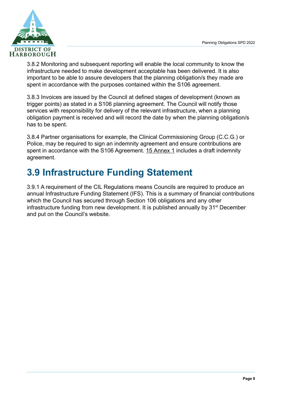

3.8.2 Monitoring and subsequent reporting will enable the local community to know the infrastructure needed to make development acceptable has been delivered. It is also important to be able to assure developers that the planning obligation/s they made are spent in accordance with the purposes contained within the S106 agreement.

3.8.3 Invoices are issued by the Council at defined stages of development (known as trigger points) as stated in a S106 planning agreement. The Council will notify those services with responsibility for delivery of the relevant infrastructure, when a planning obligation payment is received and will record the date by when the planning obligation/s has to be spent.

3.8.4 Partner organisations for example, the Clinical Commissioning Group (C.C.G.) or Police, may be required to sign an indemnity agreement and ensure contributions are spent in accordance with the S106 Agreement. [15 Annex 1](#page-40-0) includes a draft indemnity agreement.

### <span id="page-13-0"></span>**3.9 Infrastructure Funding Statement**

3.9.1 A requirement of the CIL Regulations means Councils are required to produce an annual Infrastructure Funding Statement (IFS). This is a summary of financial contributions which the Council has secured through Section 106 obligations and any other infrastructure funding from new development. It is published annually by 31<sup>st</sup> December and put on the Council's website.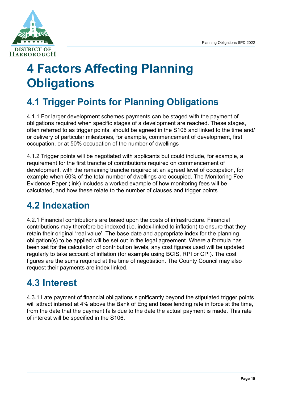

# <span id="page-14-0"></span>**4 Factors Affecting Planning Obligations**

### <span id="page-14-1"></span>**4.1 Trigger Points for Planning Obligations**

4.1.1 For larger development schemes payments can be staged with the payment of obligations required when specific stages of a development are reached. These stages, often referred to as trigger points, should be agreed in the S106 and linked to the time and/ or delivery of particular milestones, for example, commencement of development, first occupation, or at 50% occupation of the number of dwellings

4.1.2 Trigger points will be negotiated with applicants but could include, for example, a requirement for the first tranche of contributions required on commencement of development, with the remaining tranche required at an agreed level of occupation, for example when 50% of the total number of dwellings are occupied. The Monitoring Fee Evidence Paper (link) includes a worked example of how monitoring fees will be calculated, and how these relate to the number of clauses and trigger points

### <span id="page-14-2"></span>**4.2 Indexation**

4.2.1 Financial contributions are based upon the costs of infrastructure. Financial contributions may therefore be indexed (i.e. index-linked to inflation) to ensure that they retain their original 'real value'. The base date and appropriate index for the planning obligation(s) to be applied will be set out in the legal agreement. Where a formula has been set for the calculation of contribution levels, any cost figures used will be updated regularly to take account of inflation (for example using BCIS, RPI or CPI). The cost figures are the sums required at the time of negotiation. The County Council may also request their payments are index linked.

### <span id="page-14-3"></span>**4.3 Interest**

4.3.1 Late payment of financial obligations significantly beyond the stipulated trigger points will attract interest at 4% above the Bank of England base lending rate in force at the time. from the date that the payment falls due to the date the actual payment is made. This rate of interest will be specified in the S106.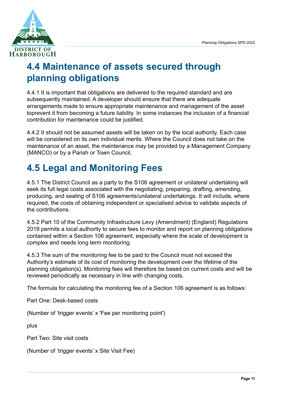

### <span id="page-15-0"></span>**4.4 Maintenance of assets secured through planning obligations**

4.4.1 It is important that obligations are delivered to the required standard and are subsequently maintained. A developer should ensure that there are adequate arrangements made to ensure appropriate maintenance and management of the asset toprevent it from becoming a future liability. In some instances the inclusion of a financial contribution for maintenance could be justified.

4.4.2 It should not be assumed assets will be taken on by the local authority. Each case will be considered on its own individual merits. Where the Council does not take on the maintenance of an asset, the maintenance may be provided by a Management Company (MANCO) or by a Parish or Town Council.

### <span id="page-15-1"></span>**4.5 Legal and Monitoring Fees**

4.5.1 The District Council as a party to the S106 agreement or unilateral undertaking will seek its full legal costs associated with the negotiating, preparing, drafting, amending, producing, and sealing of S106 agreements/unilateral undertakings. It will include, where required, the costs of obtaining independent or specialised advice to validate aspects of the contributions.

4.5.2 Part 10 of the Community Infrastructure Levy (Amendment) (England) Regulations 2019 permits a local authority to secure fees to monitor and report on planning obligations contained within a Section 106 agreement, especially where the scale of development is complex and needs long term monitoring.

4.5.3 The sum of the monitoring fee to be paid to the Council must not exceed the Authority's estimate of its cost of monitoring the development over the lifetime of the planning obligation(s). Monitoring fees will therefore be based on current costs and will be reviewed periodically as necessary in line with changing costs.

The formula for calculating the monitoring fee of a Section 106 agreement is as follows:

Part One: Desk-based costs

(Number of 'trigger events' x 'Fee per monitoring point')

plus

Part Two: Site visit costs

(Number of 'trigger events' x Site Visit Fee)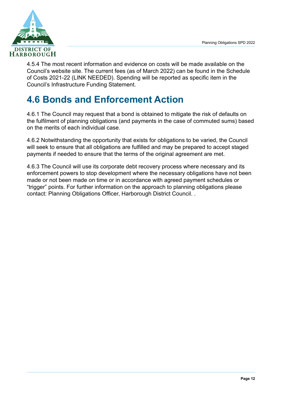

4.5.4 The most recent information and evidence on costs will be made available on the Council's website site. The current fees (as of March 2022) can be found in the Schedule of Costs 2021-22 (LINK NEEDED). Spending will be reported as specific item in the Council's Infrastructure Funding Statement.

### <span id="page-16-0"></span>**4.6 Bonds and Enforcement Action**

4.6.1 The Council may request that a bond is obtained to mitigate the risk of defaults on the fulfilment of planning obligations (and payments in the case of commuted sums) based on the merits of each individual case.

4.6.2 Notwithstanding the opportunity that exists for obligations to be varied, the Council will seek to ensure that all obligations are fulfilled and may be prepared to accept staged payments if needed to ensure that the terms of the original agreement are met.

4.6.3 The Council will use its corporate debt recovery process where necessary and its enforcement powers to stop development where the necessary obligations have not been made or not been made on time or in accordance with agreed payment schedules or "trigger" points. For further information on the approach to planning obligations please contact: Planning Obligations Officer, Harborough District Council. .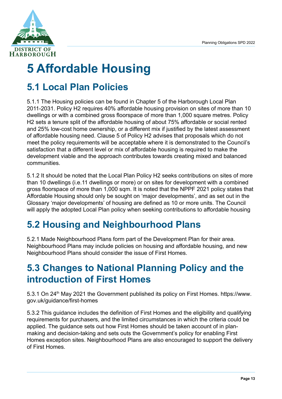

# <span id="page-17-0"></span>**5 Affordable Housing**

### <span id="page-17-1"></span>**5.1 Local Plan Policies**

5.1.1 The Housing policies can be found in Chapter 5 of the Harborough Local Plan 2011-2031. Policy H2 requires 40% affordable housing provision on sites of more than 10 dwellings or with a combined gross floorspace of more than 1,000 square metres. Policy H2 sets a tenure split of the affordable housing of about 75% affordable or social rented and 25% low-cost home ownership, or a different mix if justified by the latest assessment of affordable housing need. Clause 5 of Policy H2 advises that proposals which do not meet the policy requirements will be acceptable where it is demonstrated to the Council's satisfaction that a different level or mix of affordable housing is required to make the development viable and the approach contributes towards creating mixed and balanced communities.

5.1.2 It should be noted that the Local Plan Policy H2 seeks contributions on sites of more than 10 dwellings (i.e.11 dwellings or more) or on sites for development with a combined gross floorspace of more than 1,000 sqm. It is noted that the NPPF 2021 policy states that Affordable Housing should only be sought on 'major developments', and as set out in the Glossary 'major developments' of housing are defined as 10 or more units. The Council will apply the adopted Local Plan policy when seeking contributions to affordable housing

### <span id="page-17-2"></span>**5.2 Housing and Neighbourhood Plans**

5.2.1 Made Neighbourhood Plans form part of the Development Plan for their area. Neighbourhood Plans may include policies on housing and affordable housing, and new Neighbourhood Plans should consider the issue of First Homes.

### <span id="page-17-3"></span>**5.3 Changes to National Planning Policy and the introduction of First Homes**

5.3.1 On 24th May 2021 the Government published its policy on First Homes. [https://www.](https://www.gov.uk/guidance/first-homes) [gov.uk/guidance/first-homes](https://www.gov.uk/guidance/first-homes)

5.3.2 This guidance includes the definition of First Homes and the eligibility and qualifying requirements for purchasers, and the limited circumstances in which the criteria could be applied. The guidance sets out how First Homes should be taken account of in planmaking and decision-taking and sets outs the Government's policy for enabling First Homes exception sites. Neighbourhood Plans are also encouraged to support the delivery of First Homes.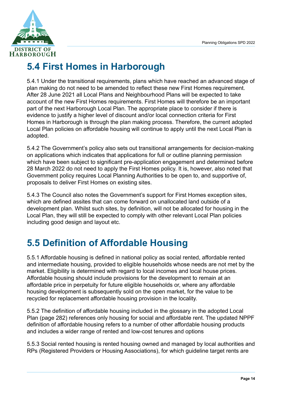

### <span id="page-18-0"></span>**5.4 First Homes in Harborough**

5.4.1 Under the transitional requirements, plans which have reached an advanced stage of plan making do not need to be amended to reflect these new First Homes requirement. After 28 June 2021 all Local Plans and Neighbourhood Plans will be expected to take account of the new First Homes requirements. First Homes will therefore be an important part of the next Harborough Local Plan. The appropriate place to consider if there is evidence to justify a higher level of discount and/or local connection criteria for First Homes in Harborough is through the plan making process. Therefore, the current adopted Local Plan policies on affordable housing will continue to apply until the next Local Plan is adopted.

5.4.2 The Government's policy also sets out transitional arrangements for decision-making on applications which indicates that applications for full or outline planning permission which have been subject to significant pre-application engagement and determined before 28 March 2022 do not need to apply the First Homes policy. It is, however, also noted that Government policy requires Local Planning Authorities to be open to, and supportive of, proposals to deliver First Homes on existing sites.

5.4.3 The Council also notes the Government's support for First Homes exception sites, which are defined assites that can come forward on unallocated land outside of a development plan. Whilst such sites, by definition, will not be allocated for housing in the Local Plan, they will still be expected to comply with other relevant Local Plan policies including good design and layout etc.

### <span id="page-18-1"></span>**5.5 Definition of Affordable Housing**

5.5.1 Affordable housing is defined in national policy as social rented, affordable rented and intermediate housing, provided to eligible households whose needs are not met by the market. Eligibility is determined with regard to local incomes and local house prices. Affordable housing should include provisions for the development to remain at an affordable price in perpetuity for future eligible households or, where any affordable housing development is subsequently sold on the open market, for the value to be recycled for replacement affordable housing provision in the locality.

5.5.2 The definition of affordable housing included in the glossary in the adopted Local Plan (page 282) references only housing for social and affordable rent. The updated NPPF definition of affordable housing refers to a number of other affordable housing products and includes a wider range of rented and low-cost tenures and options

5.5.3 Social rented housing is rented housing owned and managed by local authorities and RPs (Registered Providers or Housing Associations), for which guideline target rents are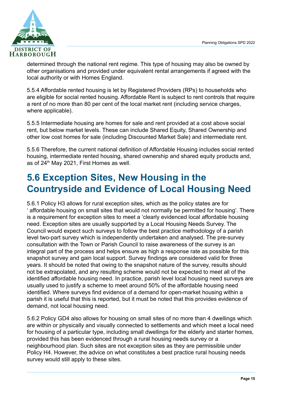

determined through the national rent regime. This type of housing may also be owned by other organisations and provided under equivalent rental arrangements if agreed with the local authority or with Homes England.

5.5.4 Affordable rented housing is let by Registered Providers (RPs) to households who are eligible for social rented housing. Affordable Rent is subject to rent controls that require a rent of no more than 80 per cent of the local market rent (including service charges, where applicable).

5.5.5 Intermediate housing are homes for sale and rent provided at a cost above social rent, but below market levels. These can include Shared Equity, Shared Ownership and other low cost homes for sale (including Discounted Market Sale) and intermediate rent.

5.5.6 Therefore, the current national definition of Affordable Housing includes social rented housing, intermediate rented housing, shared ownership and shared equity products and, as of  $24<sup>th</sup>$  May 2021, First Homes as well.

### <span id="page-19-0"></span>**5.6 Exception Sites, New Housing in the Countryside and Evidence of Local Housing Need**

5.6.1 Policy H3 allows for rural exception sites, which as the policy states are for affordable housing on small sites that would not normally be permitted for housing'. There is a requirement for exception sites to meet a 'clearly evidenced local affordable housing need. Exception sites are usually supported by a Local Housing Needs Survey. The Council would expect such surveys to follow the best practice methodology of a parish level two-part survey which is independently undertaken and analysed. The pre-survey consultation with the Town or Parish Council to raise awareness of the survey is an integral part of the process and helps ensure as high a response rate as possible for this snapshot survey and gain local support. Survey findings are considered valid for three years. It should be noted that owing to the snapshot nature of the survey, results should not be extrapolated, and any resulting scheme would not be expected to meet all of the identified affordable housing need. In practice, parish level local housing need surveys are usually used to justify a scheme to meet around 50% of the affordable housing need identified. Where surveys find evidence of a demand for open-market housing within a parish it is useful that this is reported, but it must be noted that this provides evidence of demand, not local housing need.

5.6.2 Policy GD4 also allows for housing on small sites of no more than 4 dwellings which are within or physically and visually connected to settlements and which meet a local need for housing of a particular type, including small dwellings for the elderly and starter homes, provided this has been evidenced through a rural housing needs survey or a neighbourhood plan. Such sites are not exception sites as they are permissible under Policy H4. However, the advice on what constitutes a best practice rural housing needs survey would still apply to these sites.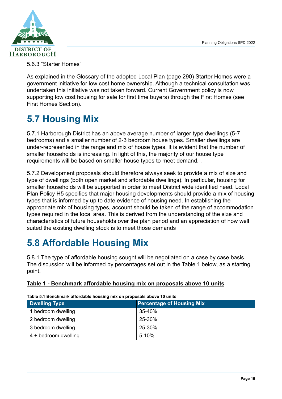

5.6.3 "Starter Homes"

As explained in the Glossary of the adopted Local Plan (page 290) Starter Homes were a government initiative for low cost home ownership. Although a technical consultation was undertaken this initiative was not taken forward. Current Government policy is now supporting low cost housing for sale for first time buyers) through the First Homes (see First Homes Section).

### <span id="page-20-0"></span>**5.7 Housing Mix**

5.7.1 Harborough District has an above average number of larger type dwellings (5-7 bedrooms) and a smaller number of 2-3 bedroom house types. Smaller dwellings are under-represented in the range and mix of house types. It is evident that the number of smaller households is increasing. In light of this, the majority of our house type requirements will be based on smaller house types to meet demand. .

5.7.2 Development proposals should therefore always seek to provide a mix of size and type of dwellings (both open market and affordable dwellings). In particular, housing for smaller households will be supported in order to meet District wide identified need. Local Plan Policy H5 specifies that major housing developments should provide a mix of housing types that is informed by up to date evidence of housing need. In establishing the appropriate mix of housing types, account should be taken of the range of accommodation types required in the local area. This is derived from the understanding of the size and characteristics of future households over the plan period and an appreciation of how well suited the existing dwelling stock is to meet those demands

### <span id="page-20-1"></span>**5.8 Affordable Housing Mix**

5.8.1 The type of affordable housing sought will be negotiated on a case by case basis. The discussion will be informed by percentages set out in the Table 1 below, as a starting point.

#### <span id="page-20-2"></span>**Table 1 - Benchmark affordable housing mix on proposals above 10 units**

| <b>Dwelling Type</b> | <b>Percentage of Housing Mix</b> |
|----------------------|----------------------------------|
| 1 bedroom dwelling   | $35 - 40%$                       |
| 2 bedroom dwelling   | 25-30%                           |
| 3 bedroom dwelling   | 25-30%                           |
| 4 + bedroom dwelling | $5 - 10%$                        |

**Table 5.1 Benchmark affordable housing mix on proposals above 10 units**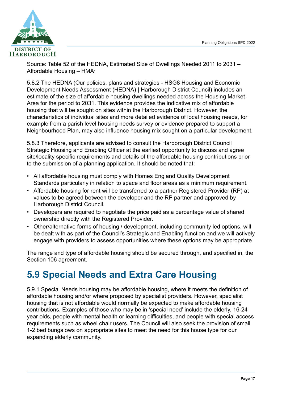

Source: Table 52 of the HEDNA, Estimated Size of Dwellings Needed 2011 to 2031 – Affordable Housing – HMA[1](#page-43-1)

5.8.2 The HEDNA [\(Our policies, plans and strategies - HSG8 Housing and Economic](https://www.harborough.gov.uk/directory_record/2263/housing_and_economic_development_needs_assessment_hedna) [Development Needs Assessment \(HEDNA\) | Harborough District Council\)](https://www.harborough.gov.uk/directory_record/2263/housing_and_economic_development_needs_assessment_hedna) includes an estimate of the size of affordable housing dwellings needed across the Housing Market Area for the period to 2031. This evidence provides the indicative mix of affordable housing that will be sought on sites within the Harborough District. However, the characteristics of individual sites and more detailed evidence of local housing needs, for example from a parish level housing needs survey or evidence prepared to support a Neighbourhood Plan, may also influence housing mix sought on a particular development.

5.8.3 Therefore, applicants are advised to consult the Harborough District Council Strategic Housing and Enabling Officer at the earliest opportunity to discuss and agree site/locality specific requirements and details of the affordable housing contributions prior to the submission of a planning application. It should be noted that:

- All affordable housing must comply with Homes England Quality Development Standards particularly in relation to space and floor areas as a minimum requirement.
- Affordable housing for rent will be transferred to a partner Registered Provider (RP) at values to be agreed between the developer and the RP partner and approved by Harborough District Council.
- Developers are required to negotiate the price paid as a percentage value of shared ownership directly with the Registered Provider.
- Other/alternative forms of housing / development, including community led options, will be dealt with as part of the Council's Strategic and Enabling function and we will actively engage with providers to assess opportunities where these options may be appropriate

The range and type of affordable housing should be secured through, and specified in, the Section 106 agreement.

### <span id="page-21-0"></span>**5.9 Special Needs and Extra Care Housing**

5.9.1 Special Needs housing may be affordable housing, where it meets the definition of affordable housing and/or where proposed by specialist providers. However, specialist housing that is not affordable would normally be expected to make affordable housing contributions. Examples of those who may be in 'special need' include the elderly, 16-24 year olds, people with mental health or learning difficulties, and people with special access requirements such as wheel chair users. The Council will also seek the provision of small 1-2 bed bungalows on appropriate sites to meet the need for this house type for our expanding elderly community.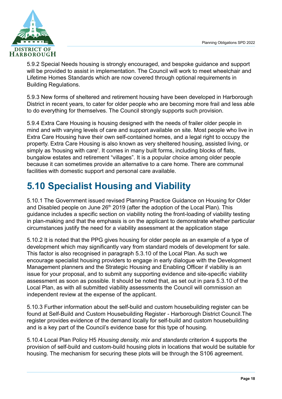

5.9.2 Special Needs housing is strongly encouraged, and bespoke guidance and support will be provided to assist in implementation. The Council will work to meet wheelchair and Lifetime Homes Standards which are now covered through optional requirements in Building Regulations.

5.9.3 New forms of sheltered and retirement housing have been developed in Harborough District in recent years, to cater for older people who are becoming more frail and less able to do everything for themselves. The Council strongly supports such provision.

5.9.4 Extra Care Housing is housing designed with the needs of frailer older people in mind and with varying levels of care and support available on site. Most people who live in Extra Care Housing have their own self-contained homes, and a legal right to occupy the property. Extra Care Housing is also known as very sheltered housing, assisted living, or simply as 'housing with care'. It comes in many built forms, including blocks of flats, bungalow estates and retirement "villages". It is a popular choice among older people because it can sometimes provide an alternative to a care home. There are communal facilities with domestic support and personal care available.

### <span id="page-22-0"></span>**5.10 Specialist Housing and Viability**

5.10.1 The Government issued revised Planning Practice Guidance on Housing for Older and Disabled people on June  $26<sup>th</sup> 2019$  (after the adoption of the Local Plan). This guidance includes a specific section on viability noting the front-loading of viability testing in plan-making and that the emphasis is on the applicant to demonstrate whether particular circumstances justify the need for a viability assessment at the application stage

5.10.2 It is noted that the PPG gives housing for older people as an example of a type of development which may significantly vary from standard models of development for sale. This factor is also recognised in paragraph 5.3.10 of the Local Plan. As such we encourage specialist housing providers to engage in early dialogue with the Development Management planners and the Strategic Housing and Enabling Officer if viability is an issue for your proposal, and to submit any supporting evidence and site-specific viability assessment as soon as possible. It should be noted that, as set out in para 5.3.10 of the Local Plan, as with all submitted viability assessments the Council will commission an independent review at the expense of the applicant.

5.10.3 Further information about the self-build and custom housebuilding register can be found at [Self-Build and Custom Housebuilding Register - Harborough District Council.](https://www.harborough.gov.uk/forms/form/283/en/self-build_and_custom_housebuilding_register)The register provides evidence of the demand locally for self-build and custom housebuilding and is a key part of the Council's evidence base for this type of housing.

5.10.4 Local Plan Policy H5 *Housing density, mix and standards* criterion 4 supports the provision of self-build and custom-build housing plots in locations that would be suitable for housing. The mechanism for securing these plots will be through the S106 agreement.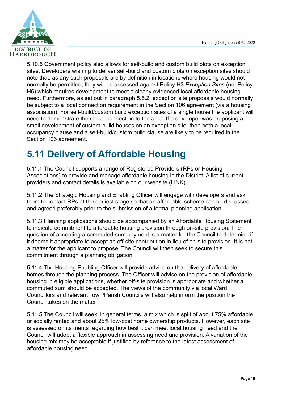

5.10.5 Government policy also allows for self-build and custom build plots on exception sites. Developers wishing to deliver self-build and custom plots on exception sites should note that, as any such proposals are by definition in locations where housing would not normally be permitted, they will be assessed against Policy H3 *Exception Sites* (not Policy H5) which requires development to meet a clearly evidenced local affordable housing need. Furthermore, as set out in paragraph 5.5.2, exception site proposals would normally be subject to a local connection requirement in the Section 106 agreement (via a housing association). For self-build/custom build exception sites of a single house the applicant will need to demonstrate their local connection to the area. If a developer was proposing a small development of custom-build houses on an exception site, then both a local occupancy clause and a self-build/custom build clause are likely to be required in the Section 106 agreement.

### <span id="page-23-0"></span>**5.11 Delivery of Affordable Housing**

5.11.1 The Council supports a range of Registered Providers (RPs or Housing Associations) to provide and manage affordable housing in the District. A list of current providers and contact details is available on our website (LINK).

5.11.2 The Strategic Housing and Enabling Officer will engage with developers and ask them to contact RPs at the earliest stage so that an affordable scheme can be discussed and agreed preferably prior to the submission of a formal planning application.

5.11.3 Planning applications should be accompanied by an Affordable Housing Statement to indicate commitment to affordable housing provision through on-site provision. The question of accepting a commuted sum payment is a matter for the Council to determine if it deems it appropriate to accept an off-site contribution in lieu of on-site provision. It is not a matter for the applicant to propose. The Council will then seek to secure this commitment through a planning obligation.

5.11.4 The Housing Enabling Officer will provide advice on the delivery of affordable homes through the planning process. The Officer will advise on the provision of affordable housing in eligible applications, whether off-site provision is appropriate and whether a commuted sum should be accepted. The views of the community via local Ward Councillors and relevant Town/Parish Councils will also help inform the position the Council takes on the matter

5.11.5 The Council will seek, in general terms, a mix which is split of about 75% affordable or socially rented and about 25% low-cost home ownership products. However, each site is assessed on its merits regarding how best it can meet local housing need and the Council will adopt a flexible approach in assessing need and provision. A variation of the housing mix may be acceptable if justified by reference to the latest assessment of affordable housing need.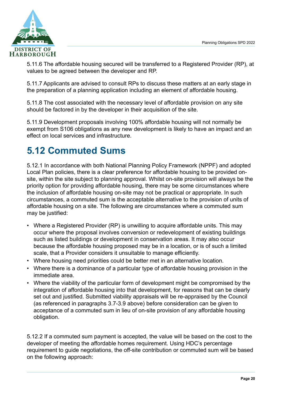

5.11.6 The affordable housing secured will be transferred to a Registered Provider (RP), at values to be agreed between the developer and RP.

5.11.7 Applicants are advised to consult RPs to discuss these matters at an early stage in the preparation of a planning application including an element of affordable housing.

5.11.8 The cost associated with the necessary level of affordable provision on any site should be factored in by the developer in their acquisition of the site.

5.11.9 Development proposals involving 100% affordable housing will not normally be exempt from S106 obligations as any new development is likely to have an impact and an effect on local services and infrastructure.

### <span id="page-24-0"></span>**5.12 Commuted Sums**

5.12.1 In accordance with both National Planning Policy Framework ([NPPF\)](http://planningguidance.communities.gov.uk/blog/policy/achieving-sustainable-development/delivering-sustainable-development/6-delivering-a-wide-choice-of-high-quality-homes/#paragraph_50) and adopted Local Plan policies, there is a clear preference for affordable housing to be provided onsite, within the site subject to planning approval. Whilst on-site provision will always be the priority option for providing affordable housing, there may be some circumstances where the inclusion of affordable housing on-site may not be practical or appropriate. In such circumstances, a commuted sum is the acceptable alternative to the provision of units of affordable housing on a site. The following are circumstances where a commuted sum may be justified:

- Where a Registered Provider (RP) is unwilling to acquire affordable units. This may occur where the proposal involves conversion or redevelopment of existing buildings such as listed buildings or development in conservation areas. It may also occur because the affordable housing proposed may be in a location, or is of such a limited scale, that a Provider considers it unsuitable to manage efficiently.
- Where housing need priorities could be better met in an alternative location.
- Where there is a dominance of a particular type of affordable housing provision in the immediate area.
- Where the viability of the particular form of development might be compromised by the integration of affordable housing into that development, for reasons that can be clearly set out and justified. Submitted viability appraisals will be re-appraised by the Council (as referenced in paragraphs 3.7-3.9 above) before consideration can be given to acceptance of a commuted sum in lieu of on-site provision of any affordable housing obligation.

5.12.2 If a commuted sum payment is accepted, the value will be based on the cost to the developer of meeting the affordable homes requirement. Using HDC's percentage requirement to guide negotiations, the off-site contribution or commuted sum will be based on the following approach: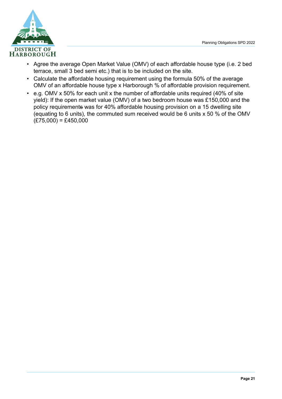

- Agree the average Open Market Value (OMV) of each affordable house type (i.e. 2 bed terrace, small 3 bed semi etc.) that is to be included on the site.
- Calculate the affordable housing requirement using the formula 50% of the average OMV of an affordable house type x Harborough % of affordable provision requirement.
- e.g. OMV x 50% for each unit x the number of affordable units required (40% of site yield): If the open market value (OMV) of a two bedroom house was £150,000 and the policy requirements was for 40% affordable housing provision on a 15 dwelling site (equating to 6 units), the commuted sum received would be 6 units x 50 % of the OMV  $(E75,000) = £450,000$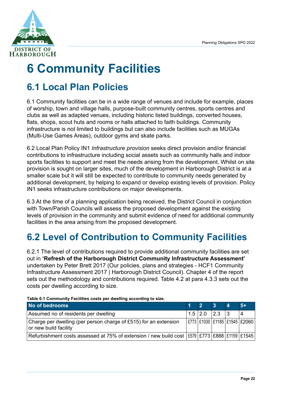

# <span id="page-26-0"></span>**6 Community Facilities**

### <span id="page-26-1"></span>**6.1 Local Plan Policies**

6.1 Community facilities can be in a wide range of venues and include for example, places of worship, town and village halls, purpose-built community centres, sports centres and clubs as well as adapted venues, including historic listed buildings, converted houses, flats, shops, scout huts and rooms or halls attached to faith buildings. Community infrastructure is not limited to buildings but can also include facilities such as MUGAs (Multi-Use Games Areas), outdoor gyms and skate parks.

6.2 Local Plan Policy IN1 *Infrastructure provision* seeks direct provision and/or financial contributions to infrastructure including social assets such as community halls and indoor sports facilities to support and meet the needs arising from the development. Whilst on site provision is sought on larger sites, much of the development in Harborough District is at a smaller scale but it will still be expected to contribute to community needs generated by additional development, by helping to expand or develop existing levels of provision. Policy IN1 seeks infrastructure contributions on major developments.

6.3 At the time of a planning application being received, the District Council in conjunction with Town/Parish Councils will assess the proposed development against the existing levels of provision in the community and submit evidence of need for additional community facilities in the area arising from the proposed development.

### <span id="page-26-2"></span>**6.2 Level of Contribution to Community Facilities**

6.2.1 The level of contributions required to provide additional community facilities are set out in **'Refresh of the Harborough District Community Infrastructure Assessment'** undertaken by Peter Brett 2017 ([Our policies, plans and strategies - HCF1 Community](https://www.harborough.gov.uk/directory_record/2988/hcf1_community_infrastructure_assessment_2017) [Infrastructure Assessment 2017 | Harborough District Council\)](https://www.harborough.gov.uk/directory_record/2988/hcf1_community_infrastructure_assessment_2017). Chapter 4 of the report sets out the methodology and contributions required. Table 4.2 at para 4.3.3 sets out the costs per dwelling according to size.

| <b>TWO OF A COMMUNIST AVINTO VOOR POT UNOMING AVOOLUING TO OILO</b>                                    |  |               |    |                 |                                      |  |  |
|--------------------------------------------------------------------------------------------------------|--|---------------|----|-----------------|--------------------------------------|--|--|
| No of bedrooms                                                                                         |  |               | Ι3 | Δ               | $5+$                                 |  |  |
| Assumed no of residents per dwelling                                                                   |  | $1.5$ 2.0 2.3 |    | $\vert 3 \vert$ |                                      |  |  |
| Charge per dwelling (per person charge of £515) for an extension<br>or new build facility              |  |               |    |                 | £773   £1030   £1185   £1545   £2060 |  |  |
| Refurbishment costs assessed at 75% of extension / new build cost   £579   £773   £888   £1159   £1545 |  |               |    |                 |                                      |  |  |

<span id="page-26-3"></span>**Table 6.1 Community Facilities costs per dwelling according to size.**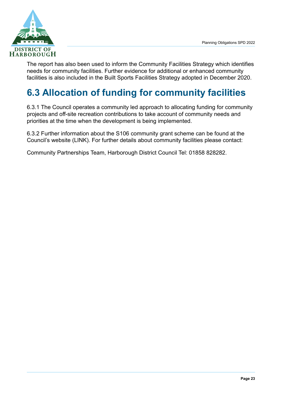

The report has also been used to inform the Community Facilities Strategy which identifies needs for community facilities. Further evidence for additional or enhanced community facilities is also included in the Built Sports Facilities Strategy adopted in December 2020.

### <span id="page-27-0"></span>**6.3 Allocation of funding for community facilities**

6.3.1 The Council operates a community led approach to allocating funding for community projects and off-site recreation contributions to take account of community needs and priorities at the time when the development is being implemented.

6.3.2 Further information about the S106 community grant scheme can be found at the Council's website (LINK). For further details about community facilities please contact:

Community Partnerships Team, Harborough District Council Tel: 01858 828282.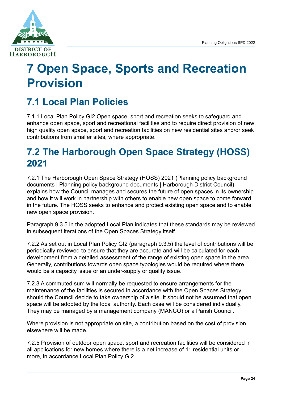

## <span id="page-28-0"></span>**7 Open Space, Sports and Recreation Provision**

### <span id="page-28-1"></span>**7.1 Local Plan Policies**

7.1.1 Local Plan Policy GI2 Open space, sport and recreation seeks to safeguard and enhance open space, sport and recreational facilities and to require direct provision of new high quality open space, sport and recreation facilities on new residential sites and/or seek contributions from smaller sites, where appropriate.

### <span id="page-28-2"></span>**7.2 The Harborough Open Space Strategy (HOSS) 2021**

7.2.1 The Harborough Open Space Strategy (HOSS) 2021 ([Planning policy background](https://www.harborough.gov.uk/info/20004/planning_strategy/328/planning_policy_background_documents) [documents | Planning policy background documents | Harborough District Council](https://www.harborough.gov.uk/info/20004/planning_strategy/328/planning_policy_background_documents)) explains how the Council manages and secures the future of open spaces in its ownership and how it will work in partnership with others to enable new open space to come forward in the future. The HOSS seeks to enhance and protect existing open space and to enable new open space provision.

Paragraph 9.3.5 in the adopted Local Plan indicates that these standards may be reviewed in subsequent iterations of the Open Spaces Strategy itself.

7.2.2 As set out in Local Plan Policy GI2 (paragraph 9.3.5) the level of contributions will be periodically reviewed to ensure that they are accurate and will be calculated for each development from a detailed assessment of the range of existing open space in the area. Generally, contributions towards open space typologies would be required where there would be a capacity issue or an under-supply or quality issue.

7.2.3 A commuted sum will normally be requested to ensure arrangements for the maintenance of the facilities is secured in accordance with the Open Spaces Strategy should the Council decide to take ownership of a site. It should not be assumed that open space will be adopted by the local authority. Each case will be considered individually. They may be managed by a management company (MANCO) or a Parish Council.

Where provision is not appropriate on site, a contribution based on the cost of provision elsewhere will be made.

7.2.5 Provision of outdoor open space, sport and recreation facilities will be considered in all applications for new homes where there is a net increase of 11 residential units or more, in accordance Local Plan Policy GI2.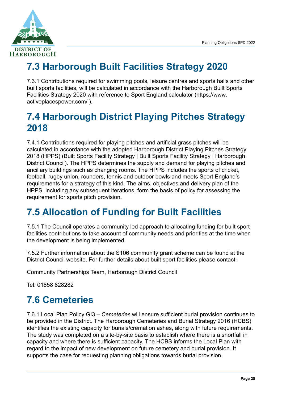

### <span id="page-29-0"></span>**7.3 Harborough Built Facilities Strategy 2020**

7.3.1 Contributions required for swimming pools, leisure centres and sports halls and other built sports facilities, will be calculated in accordance with the Harborough Built Sports Facilities Strategy 2020 with reference to Sport England calculator ([https://www.](https://www.activeplacespower.com/) [activeplacespower.com/](https://www.activeplacespower.com/) ).

### <span id="page-29-1"></span>**7.4 Harborough District Playing Pitches Strategy 2018**

7.4.1 Contributions required for playing pitches and artificial grass pitches will be calculated in accordance with the adopted Harborough District Playing Pitches Strategy 2018 (HPPS) ([Built Sports Facility Strategy | Built Sports Facility Strategy | Harborough](https://www.harborough.gov.uk/info/20012/leisure_sport_and_culture/299/built_sports_facility_strategy) [District Council\)](https://www.harborough.gov.uk/info/20012/leisure_sport_and_culture/299/built_sports_facility_strategy). The HPPS determines the supply and demand for playing pitches and ancillary buildings such as changing rooms. The HPPS includes the sports of cricket, football, rugby union, rounders, tennis and outdoor bowls and meets Sport England's requirements for a strategy of this kind. The aims, objectives and delivery plan of the HPPS, including any subsequent iterations, form the basis of policy for assessing the requirement for sports pitch provision.

### <span id="page-29-2"></span>**7.5 Allocation of Funding for Built Facilities**

7.5.1 The Council operates a community led approach to allocating funding for built sport facilities contributions to take account of community needs and priorities at the time when the development is being implemented.

7.5.2 Further information about the S106 community grant scheme can be found at the District Council website. For further details about built sport facilities please contact:

Community Partnerships Team, Harborough District Council

Tel: 01858 828282

### <span id="page-29-3"></span>**7.6 Cemeteries**

7.6.1 Local Plan Policy GI3 – *Cemeteries* will ensure sufficient burial provision continues to be provided in the District. The Harborough Cemeteries and Burial Strategy 2016 (HCBS) identifies the existing capacity for burials/cremation ashes, along with future requirements. The study was completed on a site-by-site basis to establish where there is a shortfall in capacity and where there is sufficient capacity. The HCBS informs the Local Plan with regard to the impact of new development on future cemetery and burial provision. It supports the case for requesting planning obligations towards burial provision.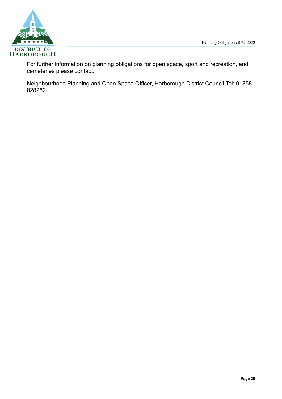

For further information on planning obligations for open space, sport and recreation, and cemeteries please contact:

Neighbourhood Planning and Open Space Officer, Harborough District Council Tel: 01858 828282.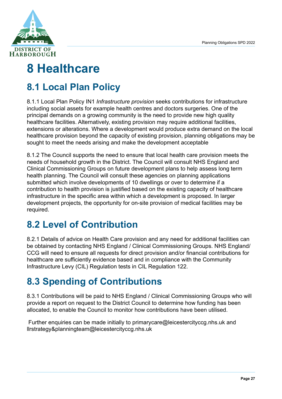

## <span id="page-31-0"></span>**8 Healthcare**

### <span id="page-31-1"></span>**8.1 Local Plan Policy**

8.1.1 Local Plan Policy IN1 *Infrastructure provision* seeks contributions for infrastructure including social assets for example health centres and doctors surgeries. One of the principal demands on a growing community is the need to provide new high quality healthcare facilities. Alternatively, existing provision may require additional facilities, extensions or alterations. Where a development would produce extra demand on the local healthcare provision beyond the capacity of existing provision, planning obligations may be sought to meet the needs arising and make the development acceptable

8.1.2 The Council supports the need to ensure that local health care provision meets the needs of household growth in the District. The Council will consult NHS England and Clinical Commissioning Groups on future development plans to help assess long term health planning. The Council will consult these agencies on planning applications submitted which involve developments of 10 dwellings or over to determine if a contribution to health provision is justified based on the existing capacity of healthcare infrastructure in the specific area within which a development is proposed. In larger development projects, the opportunity for on-site provision of medical facilities may be required.

### <span id="page-31-2"></span>**8.2 Level of Contribution**

8.2.1 Details of advice on Health Care provision and any need for additional facilities can be obtained by contacting NHS England / Clinical Commissioning Groups. NHS England/ CCG will need to ensure all requests for direct provision and/or financial contributions for healthcare are sufficiently evidence based and in compliance with the Community Infrastructure Levy (CIL) Regulation tests in CIL Regulation 122.

### <span id="page-31-3"></span>**8.3 Spending of Contributions**

8.3.1 Contributions will be paid to NHS England / Clinical Commissioning Groups who will provide a report on request to the District Council to determine how funding has been allocated, to enable the Council to monitor how contributions have been utilised.

 Further enquiries can be made initially to [primarycare@leicestercityccg.nhs.uk](mailto:primarycare@leicestercityccg.nhs.uk) and [llrstrategy&planningteam@leicestercityccg.nhs.uk](mailto:llrstrategy&planningteam@leicestercityccg.nhs.uk)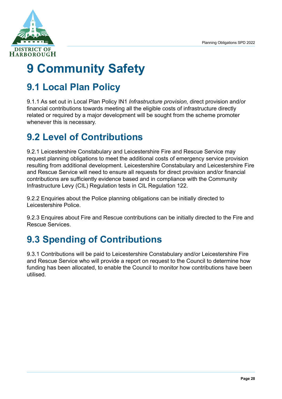

# <span id="page-32-0"></span>**9 Community Safety**

### <span id="page-32-1"></span>**9.1 Local Plan Policy**

9.1.1 As set out in Local Plan Policy IN1 *Infrastructure provision,* direct provision and/or financial contributions towards meeting all the eligible costs of infrastructure directly related or required by a major development will be sought from the scheme promoter whenever this is necessary.

### <span id="page-32-2"></span>**9.2 Level of Contributions**

9.2.1 Leicestershire Constabulary and Leicestershire Fire and Rescue Service may request planning obligations to meet the additional costs of emergency service provision resulting from additional development. Leicestershire Constabulary and Leicestershire Fire and Rescue Service will need to ensure all requests for direct provision and/or financial contributions are sufficiently evidence based and in compliance with the Community Infrastructure Levy (CIL) Regulation tests in CIL Regulation 122.

9.2.2 Enquiries about the Police planning obligations can be initially directed to Leicestershire Police.

9.2.3 Enquires about Fire and Rescue contributions can be initially directed to the Fire and Rescue Services.

### <span id="page-32-3"></span>**9.3 Spending of Contributions**

9.3.1 Contributions will be paid to Leicestershire Constabulary and/or Leicestershire Fire and Rescue Service who will provide a report on request to the Council to determine how funding has been allocated, to enable the Council to monitor how contributions have been utilised.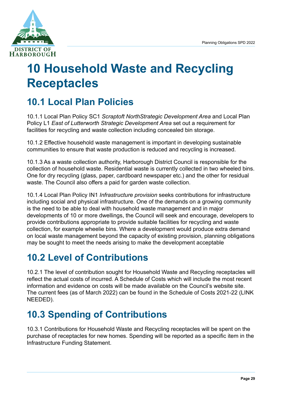

## <span id="page-33-0"></span>**10 Household Waste and Recycling Receptacles**

### <span id="page-33-1"></span>**10.1 Local Plan Policies**

10.1.1 Local Plan Policy SC1 *Scraptoft NorthStrategic Development Area* and Local Plan Policy L1 *East of Lutterworth Strategic Development Area* set out a requirement for facilities for recycling and waste collection including concealed bin storage.

10.1.2 Effective household waste management is important in developing sustainable communities to ensure that waste production is reduced and recycling is increased.

10.1.3 As a waste collection authority, Harborough District Council is responsible for the collection of household waste. Residential waste is currently collected in two wheeled bins. One for dry recycling (glass, paper, cardboard newspaper etc.) and the other for residual waste. The Council also offers a paid for garden waste collection.

10.1.4 Local Plan Policy IN1 *Infrastructure provision* seeks contributions for infrastructure including social and physical infrastructure. One of the demands on a growing community is the need to be able to deal with household waste management and in major developments of 10 or more dwellings, the Council will seek and encourage, developers to provide contributions appropriate to provide suitable facilities for recycling and waste collection, for example wheelie bins. Where a development would produce extra demand on local waste management beyond the capacity of existing provision, planning obligations may be sought to meet the needs arising to make the development acceptable

### <span id="page-33-2"></span>**10.2 Level of Contributions**

10.2.1 The level of contribution sought for Household Waste and Recycling receptacles will reflect the actual costs of incurred. A Schedule of Costs which will include the most recent information and evidence on costs will be made available on the Council's website site. The current fees (as of March 2022) can be found in the Schedule of Costs 2021-22 (LINK NEEDED).

### <span id="page-33-3"></span>**10.3 Spending of Contributions**

10.3.1 Contributions for Household Waste and Recycling receptacles will be spent on the purchase of receptacles for new homes. Spending will be reported as a specific item in the Infrastructure Funding Statement.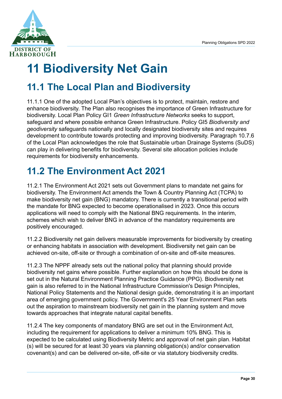

# <span id="page-34-0"></span>**11 Biodiversity Net Gain**

### <span id="page-34-1"></span>**11.1 The Local Plan and Biodiversity**

11.1.1 One of the adopted Local Plan's objectives is to protect, maintain, restore and enhance biodiversity. The Plan also recognises the importance of Green Infrastructure for biodiversity. Local Plan Policy GI1 *Green Infrastructure Networks* seeks to support, safeguard and where possible enhance Green Infrastructure. Policy GI5 *Biodiversity and geodiversity* safeguards nationally and locally designated biodiversity sites and requires development to contribute towards protecting and improving biodiversity. Paragraph 10.7.6 of the Local Plan acknowledges the role that Sustainable urban Drainage Systems (SuDS) can play in delivering benefits for biodiversity. Several site allocation policies include requirements for biodiversity enhancements.

### <span id="page-34-2"></span>**11.2 The Environment Act 2021**

11.2.1 The Environment Act 2021 sets out Government plans to mandate net gains for biodiversity. The Environment Act amends the Town & Country Planning Act (TCPA) to make biodiversity net gain (BNG) mandatory. There is currently a transitional period with the mandate for BNG expected to become operationalised in 2023. Once this occurs applications will need to comply with the National BNG requirements. In the interim, schemes which wish to deliver BNG in advance of the mandatory requirements are positively encouraged.

11.2.2 Biodiversity net gain delivers measurable improvements for biodiversity by creating or enhancing habitats in association with development. Biodiversity net gain can be achieved on-site, off-site or through a combination of on-site and off-site measures.

11.2.3 The NPPF already sets out the national policy that planning should provide biodiversity net gains where possible. [Further explanation](https://www.gov.uk/guidance/natural-environment#biodiversity-geodiversity-and-ecosystems) on how this should be done is set out in the [Natural Environment Planning Practice Guidance \(PPG\)](https://www.gov.uk/guidance/natural-environment). Biodiversity net gain is also referred to in the [National Infrastructure Commission's Design Principles](https://nic.org.uk/app/uploads/NIC-Design-Principles.pdf), [National Policy Statements](https://infrastructure.planninginspectorate.gov.uk/legislation-and-advice/national-policy-statements/) and the [National design guide](https://assets.publishing.service.gov.uk/government/uploads/system/uploads/attachment_data/file/962113/National_design_guide.pdf), demonstrating it is an important area of emerging government policy. The Government's [25 Year Environment Plan](https://assets.publishing.service.gov.uk/government/uploads/system/uploads/attachment_data/file/693158/25-year-environment-plan.pdf) sets out the aspiration to mainstream biodiversity net gain in the planning system and move towards approaches that integrate natural capital benefits.

11.2.4 The key components of mandatory BNG are set out in the Environment Act, including the requirement for applications to deliver a minimum 10% BNG. This is expected to be calculated using Biodiversity Metric and approval of net gain plan. Habitat (s) will be secured for at least 30 years via planning obligation(s) and/or conservation covenant(s) and can be delivered on-site, off-site or via statutory biodiversity credits.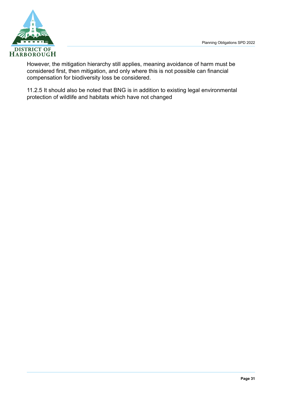

However, the mitigation hierarchy still applies, meaning avoidance of harm must be considered first, then mitigation, and only where this is not possible can financial compensation for biodiversity loss be considered.

11.2.5 It should also be noted that BNG is in addition to existing legal environmental protection of wildlife and habitats which have not changed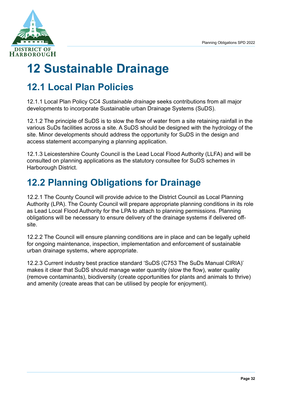

# <span id="page-36-0"></span>**12 Sustainable Drainage**

### <span id="page-36-1"></span>**12.1 Local Plan Policies**

12.1.1 Local Plan Policy CC4 *Sustainable drainage* seeks contributions from all major developments to incorporate Sustainable urban Drainage Systems (SuDS).

12.1.2 The principle of SuDS is to slow the flow of water from a site retaining rainfall in the various SuDs facilities across a site. A SuDS should be designed with the hydrology of the site. Minor developments should address the opportunity for SuDS in the design and access statement accompanying a planning application.

12.1.3 Leicestershire County Council is the Lead Local Flood Authority (LLFA) and will be consulted on planning applications as the statutory consultee for SuDS schemes in Harborough District.

### <span id="page-36-2"></span>**12.2 Planning Obligations for Drainage**

12.2.1 The County Council will provide advice to the District Council as Local Planning Authority (LPA). The County Council will prepare appropriate planning conditions in its role as Lead Local Flood Authority for the LPA to attach to planning permissions. Planning obligations will be necessary to ensure delivery of the drainage systems if delivered offsite.

12.2.2 The Council will ensure planning conditions are in place and can be legally upheld for ongoing maintenance, inspection, implementation and enforcement of sustainable urban drainage systems, where appropriate.

12.2.3 Current industry best practice standard 'SuDS (C753 The SuDs Manual CIRIA)' makes it clear that SuDS should manage water quantity (slow the flow), water quality (remove contaminants), biodiversity (create opportunities for plants and animals to thrive) and amenity (create areas that can be utilised by people for enjoyment).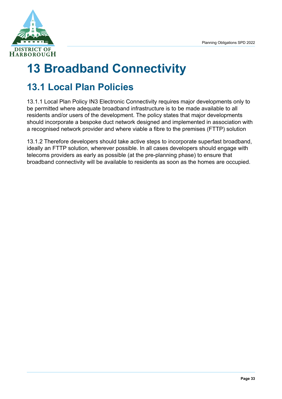

# <span id="page-37-0"></span>**13 Broadband Connectivity**

### <span id="page-37-1"></span>**13.1 Local Plan Policies**

13.1.1 Local Plan Policy IN3 Electronic Connectivity requires major developments only to be permitted where adequate broadband infrastructure is to be made available to all residents and/or users of the development. The policy states that major developments should incorporate a bespoke duct network designed and implemented in association with a recognised network provider and where viable a fibre to the premises (FTTP) solution

13.1.2 Therefore developers should take active steps to incorporate superfast broadband, ideally an FTTP solution, wherever possible. In all cases developers should engage with telecoms providers as early as possible (at the pre-planning phase) to ensure that broadband connectivity will be available to residents as soon as the homes are occupied.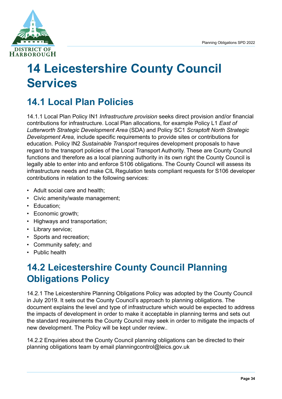

## <span id="page-38-0"></span>**14 Leicestershire County Council Services**

### <span id="page-38-1"></span>**14.1 Local Plan Policies**

14.1.1 Local Plan Policy IN1 *Infrastructure provision* seeks direct provision and/or financial contributions for infrastructure. Local Plan allocations, for example Policy L1 *East of Lutterworth Strategic Development Area* (SDA) and Policy SC1 *Scraptoft North Strategic Development Area,* include specific requirements to provide sites or contributions for education. Policy IN2 *Sustainable Transport* requires development proposals to have regard to the transport policies of the Local Transport Authority. These are County Council functions and therefore as a local planning authority in its own right the County Council is legally able to enter into and enforce S106 obligations. The County Council will assess its infrastructure needs and make CIL Regulation tests compliant requests for S106 developer contributions in relation to the following services:

- Adult social care and health;
- Civic amenity/waste management;
- Education;
- Economic growth;
- Highways and transportation;
- Library service;
- Sports and recreation;
- Community safety; and
- Public health

### <span id="page-38-2"></span>**14.2 Leicestershire County Council Planning Obligations Policy**

14.2.1 The [Leicestershire Planning Obligations Policy w](http://www.leics.gov.uk/lpop_version_4_final.pdf)as adopted by the County Council in July 2019. It sets out the County Council's approach to planning obligations. The document explains the level and type of infrastructure which would be expected to address the impacts of development in order to make it acceptable in planning terms and sets out the standard requirements the County Council may seek in order to mitigate the impacts of new development. The Policy will be kept under review..

14.2.2 Enquiries about the County Council planning obligations can be directed to their planning obligations team by email [planningcontrol@leics.gov.uk](mailto:planningcontrol@leics.gov.uk)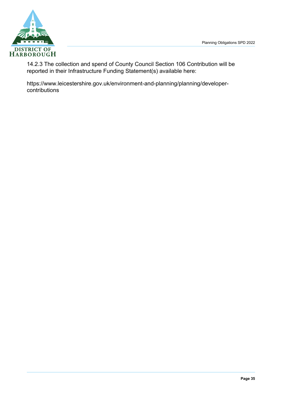

14.2.3 The collection and spend of County Council Section 106 Contribution will be reported in their Infrastructure Funding Statement(s) available here:

[https://www.leicestershire.gov.uk/environment-and-planning/planning/developer](https://www.leicestershire.gov.uk/environment-and-planning/planning/developer-contributions)[contributions](https://www.leicestershire.gov.uk/environment-and-planning/planning/developer-contributions)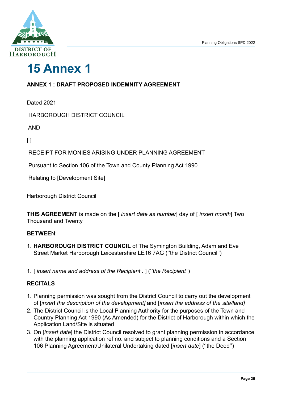

## <span id="page-40-0"></span>**15 Annex 1**

#### **ANNEX 1 : DRAFT PROPOSED INDEMNITY AGREEMENT**

Dated 2021

HARBOROUGH DISTRICT COUNCIL

AND

 $[ ]$ 

RECEIPT FOR MONIES ARISING UNDER PLANNING AGREEMENT

Pursuant to Section 106 of the Town and County Planning Act 1990

Relating to [Development Site]

Harborough District Council

**THIS AGREEMENT** is made on the [ *insert date as number*] day of [ *insert month*] Two Thousand and Twenty

#### **BETWEE**N:

- 1. **HARBOROUGH DISTRICT COUNCIL** of The Symington Building, Adam and Eve Street Market Harborough Leicestershire LE16 7AG (''the District Council'')
- 1. [ *insert name and address of the Recipient .* ] ('*'the Recipient''*)

#### **RECITALS**

- 1. Planning permission was sought from the District Council to carry out the development of [*inser*t *the description of the development]* and [*insert the address of the site/land]*
- 2. The District Council is the Local Planning Authority for the purposes of the Town and Country Planning Act 1990 (As Amended) for the District of Harborough within which the Application Land/Site is situated
- 3. On [*insert date*] the District Council resolved to grant planning permission in accordance with the planning application ref no. and subject to planning conditions and a Section 106 Planning Agreement/Unilateral Undertaking dated [*insert date*] (''the Deed'')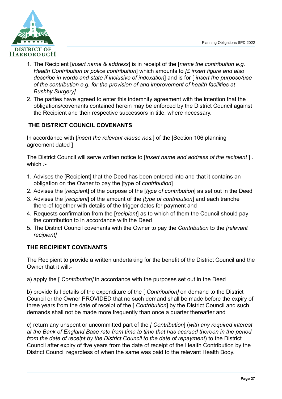

- 1. The Recipient [*insert name & address*] is in receipt of the [*name the contribution e.g. Health Contribution or police contribution*] which amounts to *[£ insert figure and also describe in words and state if inclusive of indexation*] and is for [ *insert the purpose/use of the contribution e.g. for the provision of and improvement of health facilities at Bushby Surgery]*
- 2. The parties have agreed to enter this indemnity agreement with the intention that the obligations/covenants contained herein may be enforced by the District Council against the Recipient and their respective successors in title, where necessary.

#### **THE DISTRICT COUNCIL COVENANTS**

In accordance with [*insert the relevant clause nos.*] of the [Section 106 planning agreement dated ]

The District Council will serve written notice to [*insert name and address of the recipient* ] . which *:-*

- 1. Advises the [Recipient] that the Deed has been entered into and that it contains an obligation on the Owner to pay the [type of *contribution*]
- 2. Advises the [*recipien*t] of the purpose of the [*type of contribution*] as set out in the Deed
- 3. Advises the [*recipient*] of the amount of the *[type of contribution*] and each tranche there-of together with details of the trigger dates for payment and
- 4. Requests confirmation from the [*recipient*] as to which of them the Council should pay the contribution to in accordance with the Deed
- 5. The District Council covenants with the Owner to pay the *Contribution* to the *[relevant recipient]*

#### **THE RECIPIENT COVENANTS**

The Recipient to provide a written undertaking for the benefit of the District Council and the Owner that it will:-

a) apply the [ *Contribution]* in accordance with the purposes set out in the Deed

b) provide full details of the expenditure of the [ *Contribution]* on demand to the District Council or the Owner PROVIDED that no such demand shall be made before the expiry of three years from the date of receipt of the [ *Contribution*] by the District Council and such demands shall not be made more frequently than once a quarter thereafter and

c) return any unspent or uncommitted part of the *[ Contribution*] (*with any required interest at the Bank of England Base rate from time to time that has accrued thereon in the period from the date of receipt by the District Council to the date of repayment*) to the District Council after expiry of five years from the date of receipt of the Health Contribution by the District Council regardless of when the same was paid to the relevant Health Body.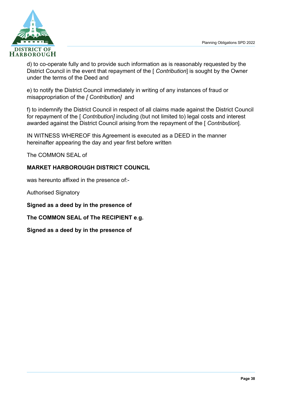

d) to co-operate fully and to provide such information as is reasonably requested by the District Council in the event that repayment of the [ *Contribution*] is sought by the Owner under the terms of the Deed and

e) to notify the District Council immediately in writing of any instances of fraud or misappropriation of the *[ Contribution]* and

f) to indemnify the District Council in respect of all claims made against the District Council for repayment of the [ *Contribution]* including (but not limited to) legal costs and interest awarded against the District Council arising from the repayment of the [ *Contribution*].

IN WITNESS WHEREOF this Agreement is executed as a DEED in the manner hereinafter appearing the day and year first before written

The COMMON SEAL of

#### **MARKET HARBOROUGH DISTRICT COUNCIL**

was hereunto affixed in the presence of:-

Authorised Signatory

**Signed as a deed by in the presence of** 

**The COMMON SEAL of The RECIPIENT e**.**g.** 

**Signed as a deed by in the presence of**